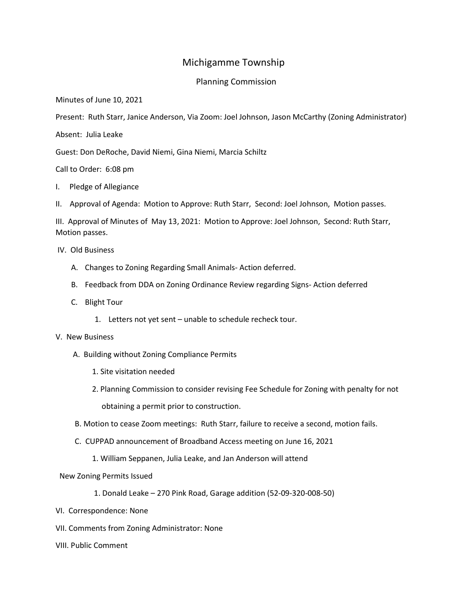## Michigamme Township

## Planning Commission

Minutes of June 10, 2021

Present: Ruth Starr, Janice Anderson, Via Zoom: Joel Johnson, Jason McCarthy (Zoning Administrator)

Absent: Julia Leake

Guest: Don DeRoche, David Niemi, Gina Niemi, Marcia Schiltz

Call to Order: 6:08 pm

I. Pledge of Allegiance

II. Approval of Agenda: Motion to Approve: Ruth Starr, Second: Joel Johnson, Motion passes.

III. Approval of Minutes of May 13, 2021: Motion to Approve: Joel Johnson, Second: Ruth Starr, Motion passes.

IV. Old Business

- A. Changes to Zoning Regarding Small Animals- Action deferred.
- B. Feedback from DDA on Zoning Ordinance Review regarding Signs- Action deferred
- C. Blight Tour
	- 1. Letters not yet sent unable to schedule recheck tour.

## V. New Business

- A. Building without Zoning Compliance Permits
	- 1. Site visitation needed
	- 2. Planning Commission to consider revising Fee Schedule for Zoning with penalty for not obtaining a permit prior to construction.
- B. Motion to cease Zoom meetings: Ruth Starr, failure to receive a second, motion fails.
- C. CUPPAD announcement of Broadband Access meeting on June 16, 2021
	- 1. William Seppanen, Julia Leake, and Jan Anderson will attend
- New Zoning Permits Issued
	- 1. Donald Leake 270 Pink Road, Garage addition (52-09-320-008-50)
- VI. Correspondence: None
- VII. Comments from Zoning Administrator: None
- VIII. Public Comment